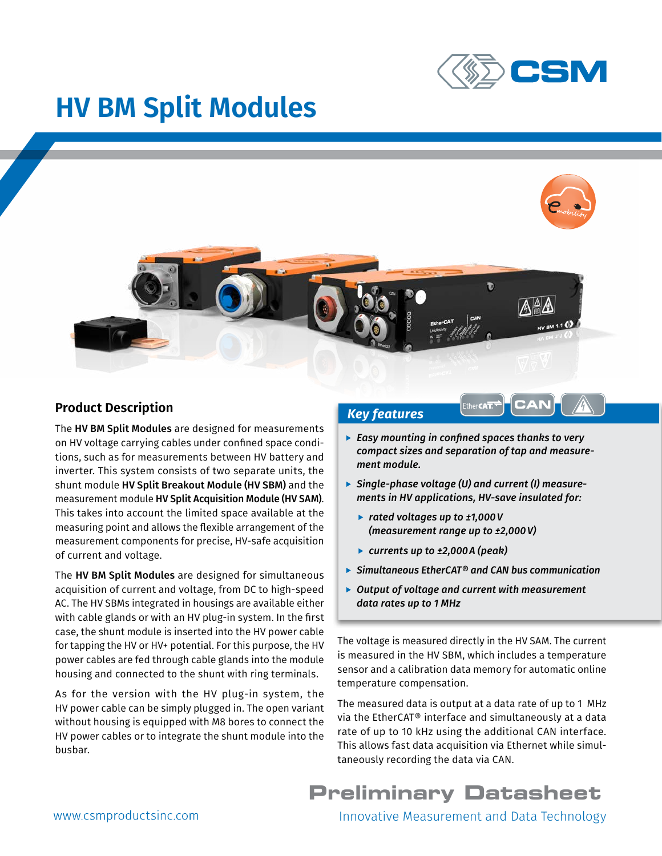

# **HV BM Split Modules**



#### **Product Description**

The HV BM Split Modules are designed for measurements on HV voltage carrying cables under confined space conditions, such as for measurements between HV battery and inverter. This system consists of two separate units, the shunt module HV Split Breakout Module (HV SBM) and the measurement module HV Split Acquisition Module (HV SAM). This takes into account the limited space available at the measuring point and allows the flexible arrangement of the measurement components for precise, HV-safe acquisition of current and voltage.

The HV BM Split Modules are designed for simultaneous acquisition of current and voltage, from DC to high-speed AC. The HV SBMs integrated in housings are available either with cable glands or with an HV plug-in system. In the first case, the shunt module is inserted into the HV power cable for tapping the HV or HV+ potential. For this purpose, the HV power cables are fed through cable glands into the module housing and connected to the shunt with ring terminals.

As for the version with the HV plug-in system, the HV power cable can be simply plugged in. The open variant without housing is equipped with M8 bores to connect the HV power cables or to integrate the shunt module into the busbar.

#### *Key features*

- **Easy mounting in confined spaces thanks to very** *compact sizes and separation of tap and measurement module.*
- ▶ Single-phase voltage (U) and current (I) measure*ments in HV applications, HV-save insulated for:*
	- f *rated voltages up to ±1,000V (measurement range up to ±2,000V)*
	- f *currents up to ±2,000A (peak)*
- f *Simultaneous EtherCAT® and CAN bus communication*
- ▶ Output of voltage and current with measurement *data rates up to 1 MHz*

The voltage is measured directly in the HV SAM. The current is measured in the HV SBM, which includes a temperature sensor and a calibration data memory for automatic online temperature compensation.

The measured data is output at a data rate of up to 1 MHz via the EtherCAT® interface and simultaneously at a data rate of up to 10 kHz using the additional CAN interface. This allows fast data acquisition via Ethernet while simultaneously recording the data via CAN.

## **Preliminary Datasheet**

Innovative Measurement and Data Technology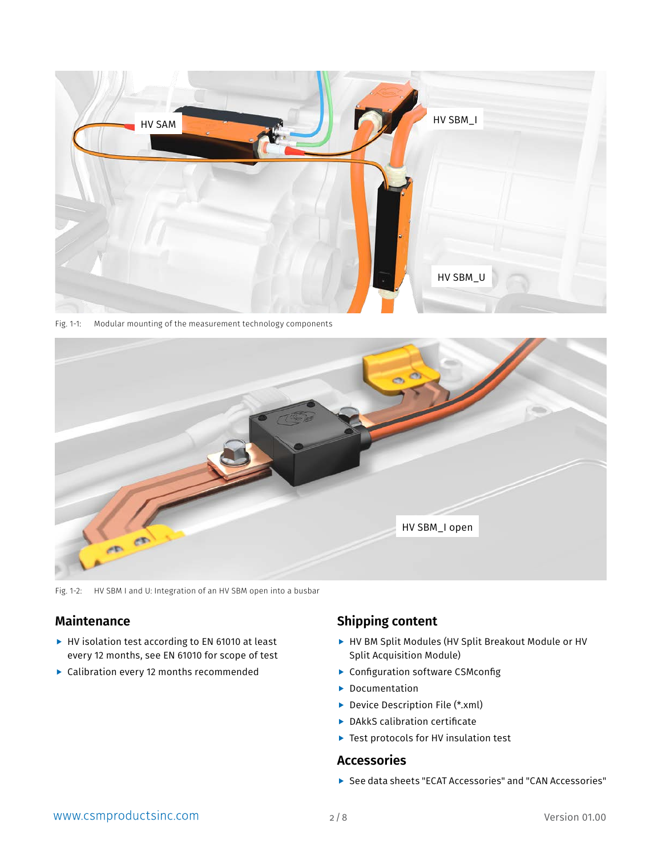

Fig. 1-1: Modular mounting of the measurement technology components



Fig. 1-2: HV SBM I and U: Integration of an HV SBM open into a busbar

## **Maintenance**

- $\blacktriangleright$  HV isolation test according to EN 61010 at least every 12 months, see EN 61010 for scope of test
- $\blacktriangleright$  Calibration every 12 months recommended

#### **Shipping content**

- ▶ HV BM Split Modules (HV Split Breakout Module or HV Split Acquisition Module)
- $\blacktriangleright$  Configuration software CSMconfig
- $\blacktriangleright$  Documentation
- $\blacktriangleright$  Device Description File (\*.xml)
- $\blacktriangleright$  DAkkS calibration certificate
- $\blacktriangleright$  Test protocols for HV insulation test

#### **Accessories**

▶ See data sheets "ECAT Accessories" and "CAN Accessories"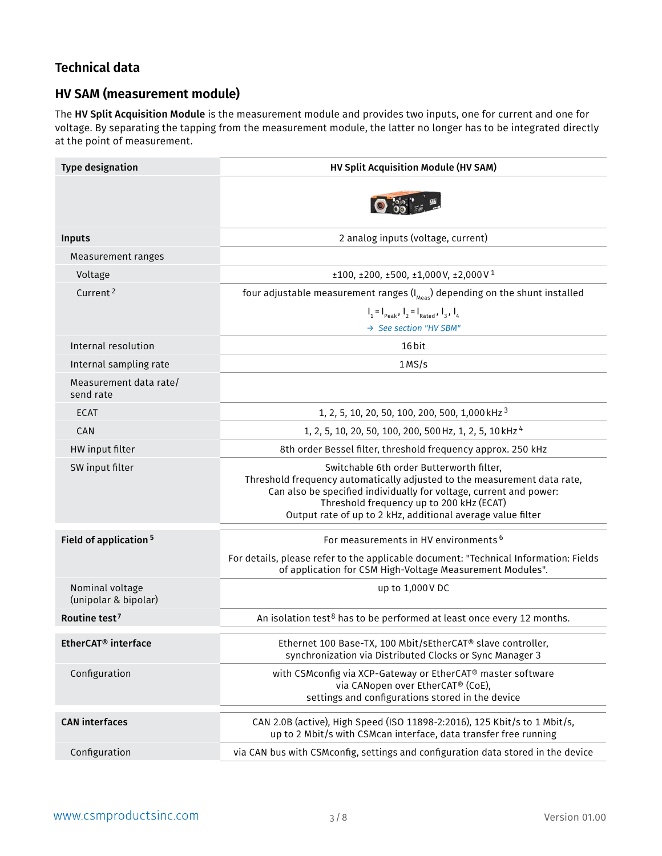## <span id="page-2-0"></span>**Technical data**

#### **HV SAM (measurement module)**

The HV Split Acquisition Module is the measurement module and provides two inputs, one for current and one for voltage. By separating the tapping from the measurement module, the latter no longer has to be integrated directly at the point of measurement.

| <b>Type designation</b>                 | HV Split Acquisition Module (HV SAM)                                                                                                                                                                                                                                                                  |  |  |  |
|-----------------------------------------|-------------------------------------------------------------------------------------------------------------------------------------------------------------------------------------------------------------------------------------------------------------------------------------------------------|--|--|--|
|                                         |                                                                                                                                                                                                                                                                                                       |  |  |  |
| Inputs                                  | 2 analog inputs (voltage, current)                                                                                                                                                                                                                                                                    |  |  |  |
| Measurement ranges                      |                                                                                                                                                                                                                                                                                                       |  |  |  |
| Voltage                                 | $\pm 100$ , $\pm 200$ , $\pm 500$ , $\pm 1,000$ V, $\pm 2,000$ V <sup>1</sup>                                                                                                                                                                                                                         |  |  |  |
| Current <sup>2</sup>                    | four adjustable measurement ranges $(I_{\text{Meas}})$ depending on the shunt installed                                                                                                                                                                                                               |  |  |  |
|                                         | $I_1 = I_{\text{peak}}$ , $I_2 = I_{\text{Rated}}$ , $I_3$ , $I_4$                                                                                                                                                                                                                                    |  |  |  |
|                                         | → See section "HV SBM"                                                                                                                                                                                                                                                                                |  |  |  |
| Internal resolution                     | 16 bit                                                                                                                                                                                                                                                                                                |  |  |  |
| Internal sampling rate                  | 1MS/s                                                                                                                                                                                                                                                                                                 |  |  |  |
| Measurement data rate/<br>send rate     |                                                                                                                                                                                                                                                                                                       |  |  |  |
| <b>ECAT</b>                             | 1, 2, 5, 10, 20, 50, 100, 200, 500, 1,000 kHz <sup>3</sup>                                                                                                                                                                                                                                            |  |  |  |
| CAN                                     | 1, 2, 5, 10, 20, 50, 100, 200, 500 Hz, 1, 2, 5, 10 kHz <sup>4</sup>                                                                                                                                                                                                                                   |  |  |  |
| HW input filter                         | 8th order Bessel filter, threshold frequency approx. 250 kHz                                                                                                                                                                                                                                          |  |  |  |
| SW input filter                         | Switchable 6th order Butterworth filter,<br>Threshold frequency automatically adjusted to the measurement data rate,<br>Can also be specified individually for voltage, current and power:<br>Threshold frequency up to 200 kHz (ECAT)<br>Output rate of up to 2 kHz, additional average value filter |  |  |  |
| Field of application <sup>5</sup>       | For measurements in HV environments <sup>6</sup>                                                                                                                                                                                                                                                      |  |  |  |
|                                         | For details, please refer to the applicable document: "Technical Information: Fields<br>of application for CSM High-Voltage Measurement Modules".                                                                                                                                                     |  |  |  |
| Nominal voltage<br>(unipolar & bipolar) | up to 1,000V DC                                                                                                                                                                                                                                                                                       |  |  |  |
| Routine test <sup>7</sup>               | An isolation test <sup>8</sup> has to be performed at least once every 12 months.                                                                                                                                                                                                                     |  |  |  |
| EtherCAT <sup>®</sup> interface         | Ethernet 100 Base-TX, 100 Mbit/sEtherCAT® slave controller,<br>synchronization via Distributed Clocks or Sync Manager 3                                                                                                                                                                               |  |  |  |
| Configuration                           | with CSMconfig via XCP-Gateway or EtherCAT® master software<br>via CANopen over EtherCAT® (CoE),<br>settings and configurations stored in the device                                                                                                                                                  |  |  |  |
| <b>CAN</b> interfaces                   | CAN 2.0B (active), High Speed (ISO 11898-2:2016), 125 Kbit/s to 1 Mbit/s,<br>up to 2 Mbit/s with CSMcan interface, data transfer free running                                                                                                                                                         |  |  |  |
| Configuration                           | via CAN bus with CSMconfig, settings and configuration data stored in the device                                                                                                                                                                                                                      |  |  |  |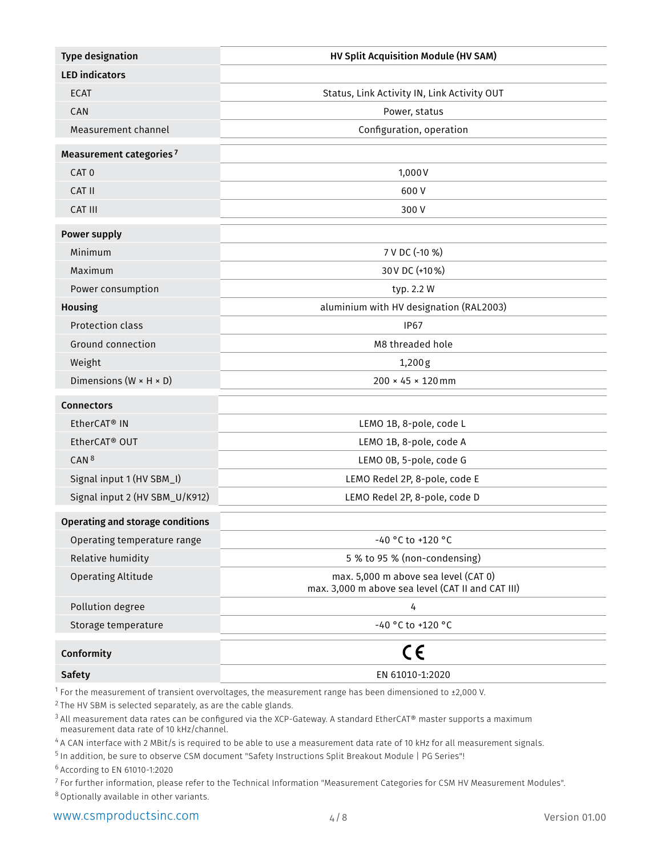<span id="page-3-0"></span>

| <b>Type designation</b>                 | HV Split Acquisition Module (HV SAM)                                                                        |  |  |  |
|-----------------------------------------|-------------------------------------------------------------------------------------------------------------|--|--|--|
| <b>LED</b> indicators                   |                                                                                                             |  |  |  |
| <b>ECAT</b>                             | Status, Link Activity IN, Link Activity OUT                                                                 |  |  |  |
| <b>CAN</b>                              | Power, status                                                                                               |  |  |  |
| Measurement channel                     | Configuration, operation                                                                                    |  |  |  |
| Measurement categories <sup>7</sup>     |                                                                                                             |  |  |  |
| CAT <sub>0</sub>                        | 1,000V                                                                                                      |  |  |  |
| CAT II                                  | 600 V                                                                                                       |  |  |  |
| CAT III                                 | 300 V                                                                                                       |  |  |  |
| <b>Power supply</b>                     |                                                                                                             |  |  |  |
| Minimum                                 | 7 V DC (-10 %)                                                                                              |  |  |  |
| Maximum                                 | 30 V DC (+10 %)                                                                                             |  |  |  |
| Power consumption                       | typ. 2.2 W                                                                                                  |  |  |  |
| <b>Housing</b>                          | aluminium with HV designation (RAL2003)                                                                     |  |  |  |
| Protection class                        | <b>IP67</b>                                                                                                 |  |  |  |
| Ground connection                       | M8 threaded hole                                                                                            |  |  |  |
| Weight                                  | 1,200g                                                                                                      |  |  |  |
| Dimensions ( $W \times H \times D$ )    | 200 × 45 × 120 mm                                                                                           |  |  |  |
| <b>Connectors</b>                       |                                                                                                             |  |  |  |
| EtherCAT® IN                            | LEMO 1B, 8-pole, code L                                                                                     |  |  |  |
| EtherCAT <sup>®</sup> OUT               | LEMO 1B, 8-pole, code A                                                                                     |  |  |  |
| CAN <sup>8</sup>                        | LEMO 0B, 5-pole, code G                                                                                     |  |  |  |
| Signal input 1 (HV SBM_I)               | LEMO Redel 2P, 8-pole, code E                                                                               |  |  |  |
| Signal input 2 (HV SBM_U/K912)          | LEMO Redel 2P, 8-pole, code D                                                                               |  |  |  |
| <b>Operating and storage conditions</b> |                                                                                                             |  |  |  |
| Operating temperature range             | -40 °C to +120 °C                                                                                           |  |  |  |
| Relative humidity                       | 5 % to 95 % (non-condensing)                                                                                |  |  |  |
| <b>Operating Altitude</b>               | max. 5,000 m above sea level (CAT 0)<br>max. 3,000 m above sea level (CAT II and CAT III)                   |  |  |  |
| Pollution degree                        | 4                                                                                                           |  |  |  |
| Storage temperature                     | -40 °C to +120 °C                                                                                           |  |  |  |
| Conformity                              | CE                                                                                                          |  |  |  |
| <b>Safety</b>                           | EN 61010-1:2020                                                                                             |  |  |  |
|                                         | For the measurement of transient overvoltages, the measurement range has been dimensioned to $\pm 2,000$ V. |  |  |  |

 $2$  The HV SBM is selected separately, as are the cable glands.

<sup>[3](#page-2-0)</sup> All measurement data rates can be configured via the XCP-Gateway. A standard EtherCAT® master supports a maximum measurement data rate of 10 kHz/channel.

<sup>[4](#page-2-0)</sup> A CAN interface with 2 MBit/s is required to be able to use a measurement data rate of 10 kHz for all measurement signals.

<sup>[5](#page-2-0)</sup> In addition, be sure to observe CSM document "Safety Instructions Split Breakout Module | PG Series"!

[6](#page-2-0) According to EN 61010-1:2020

<sup>7</sup> For further information, please refer to the Technical Information "Measurement Categories for CSM HV Measurement Modules".

<sup>8</sup> Optionally available in other variants.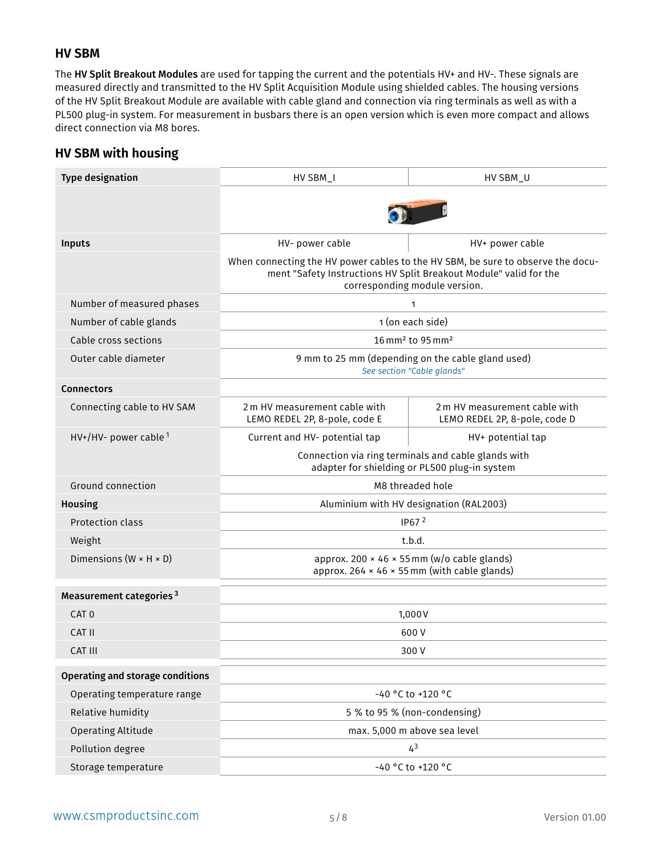#### **HV SBM**

The HV Split Breakout Modules are used for tapping the current and the potentials HV+ and HV-. These signals are measured directly and transmitted to the HV Split Acquisition Module using shielded cables. The housing versions of the HV Split Breakout Module are available with cable gland and connection via ring terminals as well as with a PL500 plug-in system. For measurement in busbars there is an open version which is even more compact and allows direct connection via M8 bores.

#### **HV SBM with housing**

| <b>Type designation</b>                 | HV SBM_I<br>HV SBM_U                                                                                                                                                                  |                                                                |  |  |  |
|-----------------------------------------|---------------------------------------------------------------------------------------------------------------------------------------------------------------------------------------|----------------------------------------------------------------|--|--|--|
|                                         |                                                                                                                                                                                       |                                                                |  |  |  |
|                                         |                                                                                                                                                                                       |                                                                |  |  |  |
| Inputs                                  | HV- power cable<br>HV+ power cable                                                                                                                                                    |                                                                |  |  |  |
|                                         | When connecting the HV power cables to the HV SBM, be sure to observe the docu-<br>ment "Safety Instructions HV Split Breakout Module" valid for the<br>corresponding module version. |                                                                |  |  |  |
| Number of measured phases               |                                                                                                                                                                                       | 1                                                              |  |  |  |
| Number of cable glands                  |                                                                                                                                                                                       | 1 (on each side)                                               |  |  |  |
| Cable cross sections                    |                                                                                                                                                                                       | 16 mm <sup>2</sup> to 95 mm <sup>2</sup>                       |  |  |  |
| Outer cable diameter                    | 9 mm to 25 mm (depending on the cable gland used)<br>See section "Cable glands"                                                                                                       |                                                                |  |  |  |
| <b>Connectors</b>                       |                                                                                                                                                                                       |                                                                |  |  |  |
| Connecting cable to HV SAM              | 2 m HV measurement cable with<br>LEMO REDEL 2P, 8-pole, code E                                                                                                                        | 2 m HV measurement cable with<br>LEMO REDEL 2P, 8-pole, code D |  |  |  |
| $HV+/HV-$ power cable $1$               | Current and HV- potential tap                                                                                                                                                         | HV+ potential tap                                              |  |  |  |
|                                         | Connection via ring terminals and cable glands with<br>adapter for shielding or PL500 plug-in system                                                                                  |                                                                |  |  |  |
| Ground connection                       | M8 threaded hole                                                                                                                                                                      |                                                                |  |  |  |
| <b>Housing</b>                          | Aluminium with HV designation (RAL2003)                                                                                                                                               |                                                                |  |  |  |
| Protection class                        | IP67 $2$                                                                                                                                                                              |                                                                |  |  |  |
| Weight                                  | t.b.d.                                                                                                                                                                                |                                                                |  |  |  |
| Dimensions ( $W \times H \times D$ )    | approx. 200 $\times$ 46 $\times$ 55 mm (w/o cable glands)<br>approx. 264 × 46 × 55 mm (with cable glands)                                                                             |                                                                |  |  |  |
| Measurement categories <sup>3</sup>     |                                                                                                                                                                                       |                                                                |  |  |  |
| CAT <sub>0</sub>                        | 1,000V                                                                                                                                                                                |                                                                |  |  |  |
| CAT II                                  | 600 V                                                                                                                                                                                 |                                                                |  |  |  |
| CAT III                                 | 300 V                                                                                                                                                                                 |                                                                |  |  |  |
| <b>Operating and storage conditions</b> |                                                                                                                                                                                       |                                                                |  |  |  |
| Operating temperature range             | -40 °C to +120 °C                                                                                                                                                                     |                                                                |  |  |  |
| Relative humidity                       |                                                                                                                                                                                       | 5 % to 95 % (non-condensing)                                   |  |  |  |
| <b>Operating Altitude</b>               | max. 5,000 m above sea level                                                                                                                                                          |                                                                |  |  |  |
| Pollution degree                        | 4 <sup>3</sup>                                                                                                                                                                        |                                                                |  |  |  |
| Storage temperature                     | -40 °C to +120 °C                                                                                                                                                                     |                                                                |  |  |  |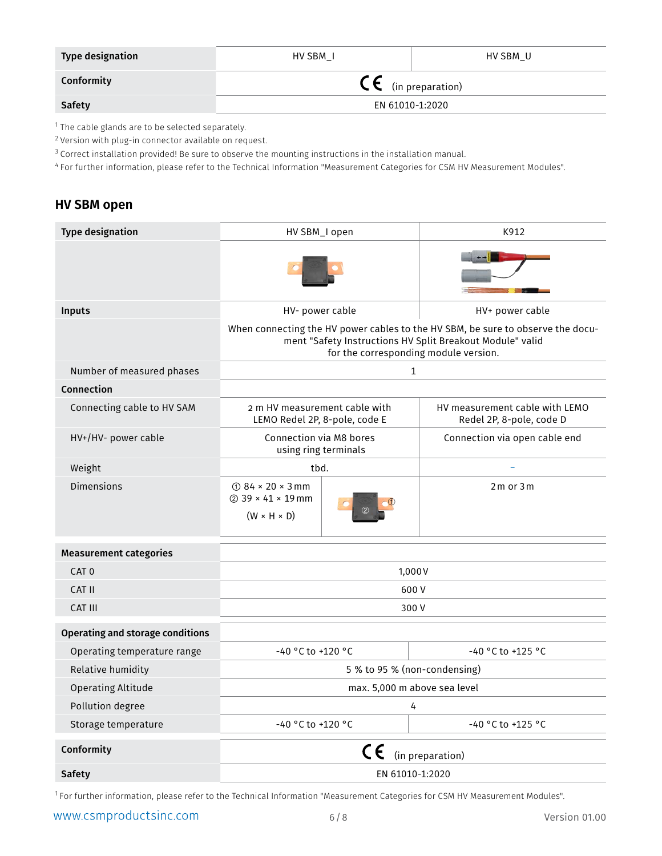| <b>Type designation</b> | HV SBM I                       | HV SBM U |  |  |
|-------------------------|--------------------------------|----------|--|--|
| Conformity              | $\mathsf{CE}$ (in preparation) |          |  |  |
| <b>Safety</b>           | EN 61010-1:2020                |          |  |  |

<sup>1</sup> The cable glands are to be selected separately.

<sup>2</sup> Version with plug-in connector available on request.

<sup>3</sup> Correct installation provided! Be sure to observe the mounting instructions in the installation manual.

<sup>4</sup> For further information, please refer to the Technical Information "Measurement Categories for CSM HV Measurement Modules".

#### **HV SBM open**

| <b>Type designation</b>          | HV SBM_I open                                                              |                                       | K912                                                                                                                                         |  |  |
|----------------------------------|----------------------------------------------------------------------------|---------------------------------------|----------------------------------------------------------------------------------------------------------------------------------------------|--|--|
|                                  |                                                                            |                                       |                                                                                                                                              |  |  |
| <b>Inputs</b>                    | HV- power cable                                                            |                                       | HV+ power cable                                                                                                                              |  |  |
|                                  |                                                                            | for the corresponding module version. | When connecting the HV power cables to the HV SBM, be sure to observe the docu-<br>ment "Safety Instructions HV Split Breakout Module" valid |  |  |
| Number of measured phases        |                                                                            | $\mathbf{1}$                          |                                                                                                                                              |  |  |
| Connection                       |                                                                            |                                       |                                                                                                                                              |  |  |
| Connecting cable to HV SAM       | 2 m HV measurement cable with<br>LEMO Redel 2P, 8-pole, code E             |                                       | HV measurement cable with LEMO<br>Redel 2P, 8-pole, code D                                                                                   |  |  |
| HV+/HV- power cable              | Connection via M8 bores<br>using ring terminals                            |                                       | Connection via open cable end                                                                                                                |  |  |
| Weight                           | tbd.                                                                       |                                       |                                                                                                                                              |  |  |
| <b>Dimensions</b>                | $\odot$ 84 × 20 × 3 mm<br>$(2)$ 39 × 41 × 19 mm<br>$(W \times H \times D)$ |                                       | $2m$ or $3m$                                                                                                                                 |  |  |
| <b>Measurement categories</b>    |                                                                            |                                       |                                                                                                                                              |  |  |
| CAT <sub>0</sub>                 | 1,000V                                                                     |                                       |                                                                                                                                              |  |  |
| CAT II                           | 600V                                                                       |                                       |                                                                                                                                              |  |  |
| CAT III                          | 300V                                                                       |                                       |                                                                                                                                              |  |  |
| Operating and storage conditions |                                                                            |                                       |                                                                                                                                              |  |  |
| Operating temperature range      | -40 °C to +120 °C<br>-40 °C to +125 °C                                     |                                       |                                                                                                                                              |  |  |
| Relative humidity                | 5 % to 95 % (non-condensing)                                               |                                       |                                                                                                                                              |  |  |
| <b>Operating Altitude</b>        | max. 5,000 m above sea level                                               |                                       |                                                                                                                                              |  |  |
| Pollution degree                 | 4                                                                          |                                       |                                                                                                                                              |  |  |
| Storage temperature              | -40 °C to +120 °C<br>-40 °C to +125 °C                                     |                                       |                                                                                                                                              |  |  |
| Conformity                       |                                                                            | CE                                    | (in preparation)                                                                                                                             |  |  |
| <b>Safety</b>                    | EN 61010-1:2020                                                            |                                       |                                                                                                                                              |  |  |

1 For further information, please refer to the Technical Information "Measurement Categories for CSM HV Measurement Modules".

www.csmproductsinc.com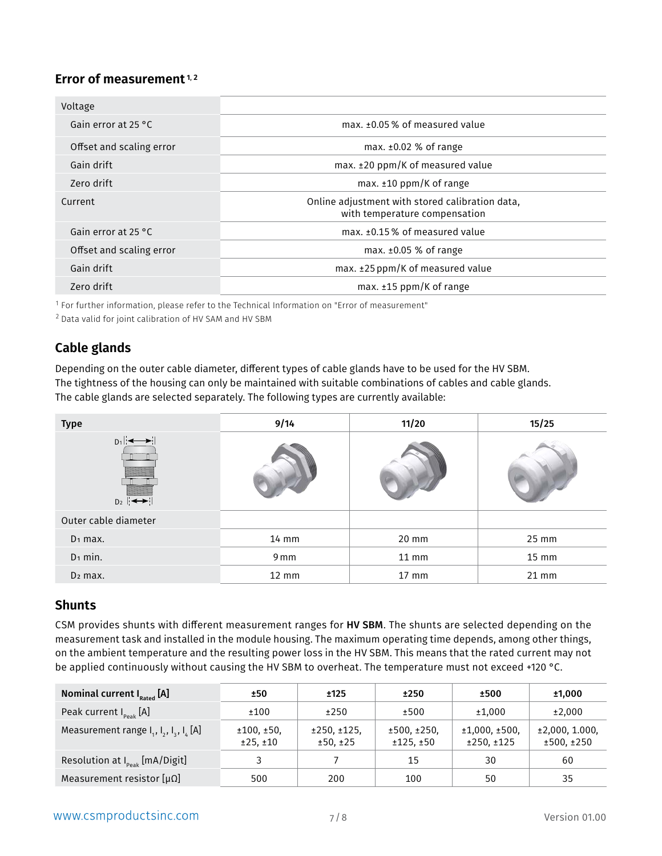#### <span id="page-6-0"></span>Error of measurement<sup>1,2</sup>

| Voltage                       |                                                                                  |
|-------------------------------|----------------------------------------------------------------------------------|
| Gain error at 25 $^{\circ}$ C | max. ±0.05% of measured value                                                    |
| Offset and scaling error      | max. $\pm 0.02$ % of range                                                       |
| Gain drift                    | $max. \pm 20$ ppm/K of measured value                                            |
| Zero drift                    | max. $\pm 10$ ppm/K of range                                                     |
| Current                       | Online adjustment with stored calibration data,<br>with temperature compensation |
| Gain error at 25 °C           | max. ±0.15% of measured value                                                    |
| Offset and scaling error      | max. $\pm 0.05$ % of range                                                       |
| Gain drift                    | max. ±25 ppm/K of measured value                                                 |
| Zero drift                    | max. $±15$ ppm/K of range                                                        |

 $1$  For further information, please refer to the Technical Information on "Error of measurement"

<sup>2</sup> Data valid for joint calibration of HV SAM and HV SBM

## **Cable glands**

Depending on the outer cable diameter, different types of cable glands have to be used for the HV SBM. The tightness of the housing can only be maintained with suitable combinations of cables and cable glands. The cable glands are selected separately. The following types are currently available:

| <b>Type</b>                                        | 9/14            | 11/20           | 15/25 |  |
|----------------------------------------------------|-----------------|-----------------|-------|--|
| $D_1$ $\longleftrightarrow$<br>$D_2$ $\rightarrow$ |                 |                 |       |  |
| Outer cable diameter                               |                 |                 |       |  |
| $D_1$ max.                                         | $14 \text{ mm}$ | 20 mm           | 25 mm |  |
| $D_1$ min.                                         | 9 mm            | $11$ mm         | 15 mm |  |
| $D2$ max.                                          | $12 \text{ mm}$ | $17 \text{ mm}$ | 21 mm |  |

#### **Shunts**

CSM provides shunts with different measurement ranges for HV SBM. The shunts are selected depending on the measurement task and installed in the module housing. The maximum operating time depends, among other things, on the ambient temperature and the resulting power loss in the HV SBM. This means that the rated current may not be applied continuously without causing the HV SBM to overheat. The temperature must not exceed +120 °C.

| Nominal current $I_{\text{Rated}}$ [A]              | ±50                   | ±125                    | ±250                    | ±500                       | ±1,000                      |
|-----------------------------------------------------|-----------------------|-------------------------|-------------------------|----------------------------|-----------------------------|
| Peak current $I_{\text{peak}}$ [A]                  | ±100                  | ±250                    | ±500                    | ±1,000                     | ±2,000                      |
| Measurement range $I_1$ , $I_2$ , $I_3$ , $I_L$ [A] | ±100,±50,<br>±25, ±10 | ±250, ±125.<br>±50, ±25 | ±500, ±250.<br>±125,±50 | ±1,000,±500.<br>±250, ±125 | ±2,000,1.000,<br>±500, ±250 |
| Resolution at $I_{peak}$ [mA/Digit]                 |                       |                         | 15                      | 30                         | 60                          |
| Measurement resistor $[\mu \Omega]$                 | 500                   | 200                     | 100                     | 50                         | 35                          |